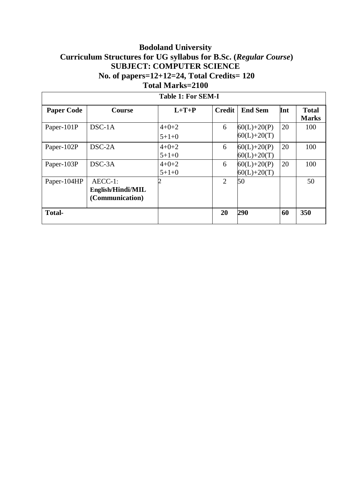# **Bodoland University Curriculum Structures for UG syllabus for B.Sc. (***Regular Course***) SUBJECT: COMPUTER SCIENCE No. of papers=12+12=24, Total Credits= 120 Total Marks=2100**

| <b>Table 1: For SEM-I</b> |                                                    |                        |               |                                    |     |                              |
|---------------------------|----------------------------------------------------|------------------------|---------------|------------------------------------|-----|------------------------------|
| <b>Paper Code</b>         | <b>Course</b>                                      | $L+T+P$                | <b>Credit</b> | <b>End Sem</b>                     | Int | <b>Total</b><br><b>Marks</b> |
| Paper-101P                | $DSC-1A$                                           | $4 + 0 + 2$<br>$5+1+0$ | 6             | $60(L) + 20(P)$<br>$60(L) + 20(T)$ | 20  | 100                          |
| Paper-102P                | DSC-2A                                             | $4 + 0 + 2$<br>$5+1+0$ | 6             | $60(L)+20(P)$<br>$60(L) + 20(T)$   | 20  | 100                          |
| Paper-103P                | DSC-3A                                             | $4 + 0 + 2$<br>$5+1+0$ | 6             | $60(L) + 20(P)$<br>$60(L) + 20(T)$ | 20  | 100                          |
| Paper-104HP               | $AECC-1$ :<br>English/Hindi/MIL<br>(Communication) |                        | 2             | 50                                 |     | 50                           |
| <b>Total-</b>             |                                                    |                        | 20            | 290                                | 60  | 350                          |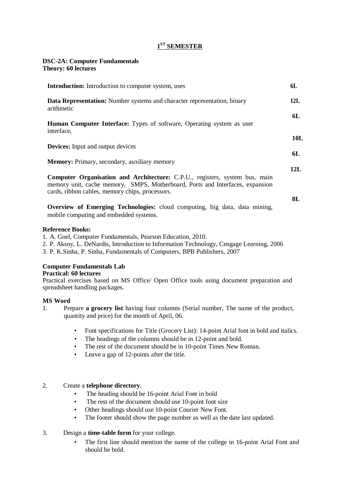# **1 ST SEMESTER**

# **DSC-2A: Computer Fundamentals**

**Theory: 60 lectures**

| <b>Introduction:</b> Introduction to computer system, uses                                                                                                                                                             | 6L        |
|------------------------------------------------------------------------------------------------------------------------------------------------------------------------------------------------------------------------|-----------|
| <b>Data Representation:</b> Number systems and character representation, binary<br>arithmetic                                                                                                                          | 12L       |
| <b>Human Computer Interface:</b> Types of software, Operating system as user<br>interface,                                                                                                                             | 6L        |
| <b>Devices:</b> Input and output devices                                                                                                                                                                               | 10L<br>6L |
| <b>Memory:</b> Primary, secondary, auxiliary memory                                                                                                                                                                    | 12L       |
| <b>Computer Organisation and Architecture:</b> C.P.U., registers, system bus, main<br>memory unit, cache memory, SMPS, Motherboard, Ports and Interfaces, expansion<br>cards, ribbon cables, memory chips, processors. |           |
| <b>Overview of Emerging Technologies:</b> cloud computing, big data, data mining,<br>mobile computing and embedded systems.                                                                                            | 8L        |
| <b>Reference Books:</b><br>1. A. Goel, Computer Fundamentals, Pearson Education, 2010.                                                                                                                                 |           |

- 2. P. Aksoy, L. DeNardis, Introduction to Information Technology, Cengage Learning, 2006
- 3. P. K.Sinha, P. Sinha, Fundamentals of Computers, BPB Publishers, 2007

# **Computer Fundamentals Lab**

# **Practical: 60 lectures**

Practical exercises based on MS Office/ Open Office tools using document preparation and spreadsheet handling packages.

# **MS Word**

- 1. Prepare **a grocery list** having four columns (Serial number, The name of the product, quantity and price) for the month of April, 06.
	- Font specifications for Title (Grocery List): 14-point Arial font in bold and italics.
	- The headings of the columns should be in 12-point and bold.
	- The rest of the document should be in 10-point Times New Roman.
	- Leave a gap of 12-points after the title.

# 2. Create a **telephone directory**.

- The heading should be 16-point Arial Font in bold
- The rest of the document should use 10-point font size
- Other headings should use 10-point Courier New Font.
- The footer should show the page number as well as the date last updated.

# 3. Design a **time-table form** for your college.

The first line should mention the name of the college in 16-point Arial Font and should be bold.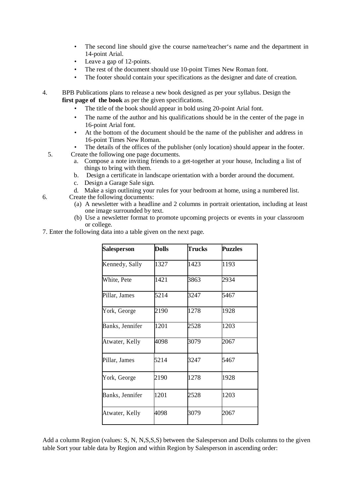- The second line should give the course name/teacher's name and the department in 14-point Arial.
- Leave a gap of 12-points.
- The rest of the document should use 10-point Times New Roman font.
- The footer should contain your specifications as the designer and date of creation.

4. BPB Publications plans to release a new book designed as per your syllabus. Design the **first page of the book** as per the given specifications.

- The title of the book should appear in bold using 20-point Arial font.
- The name of the author and his qualifications should be in the center of the page in 16-point Arial font.
- At the bottom of the document should be the name of the publisher and address in 16-point Times New Roman.
- The details of the offices of the publisher (only location) should appear in the footer.
- 5. Create the following one page documents.
	- a. Compose a note inviting friends to a get-together at your house, Including a list of things to bring with them.
	- b. Design a certificate in landscape orientation with a border around the document.
	- c. Design a Garage Sale sign.
	- d. Make a sign outlining your rules for your bedroom at home, using a numbered list.
- 6. Create the following documents:
	- (a) A newsletter with a headline and 2 columns in portrait orientation, including at least one image surrounded by text.
	- (b) Use a newsletter format to promote upcoming projects or events in your classroom or college.
- 7. Enter the following data into a table given on the next page.

| <b>Salesperson</b> | <b>Dolls</b> | <b>Trucks</b> | <b>Puzzles</b> |
|--------------------|--------------|---------------|----------------|
| Kennedy, Sally     | 1327         | 1423          | 1193           |
| White, Pete        | 1421         | 3863          | 2934           |
| Pillar, James      | 5214         | 3247          | 5467           |
| York, George       | 2190         | 1278          | 1928           |
| Banks, Jennifer    | 1201         | 2528          | 1203           |
| Atwater, Kelly     | 4098         | 3079          | 2067           |
| Pillar, James      | 5214         | 3247          | 5467           |
| York, George       | 2190         | 1278          | 1928           |
| Banks, Jennifer    | 1201         | 2528          | 1203           |
| Atwater, Kelly     | 4098         | 3079          | 2067           |

Add a column Region (values: S, N, N,S,S,S) between the Salesperson and Dolls columns to the given table Sort your table data by Region and within Region by Salesperson in ascending order: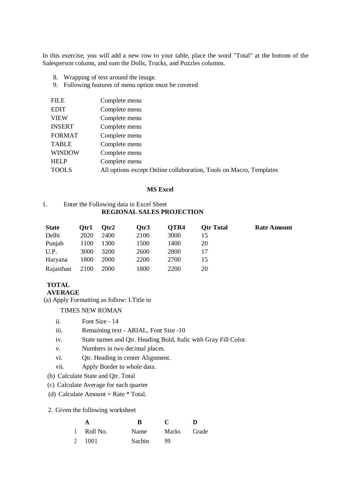In this exercise, you will add a new row to your table, place the word "Total" at the bottom of the Salesperson column, and sum the Dolls, Trucks, and Puzzles columns.

- 8. Wrapping of text around the image.
- 9. Following features of menu option must be covered

| <b>FILE</b>   | Complete menu                                                      |
|---------------|--------------------------------------------------------------------|
| <b>EDIT</b>   | Complete menu                                                      |
| <b>VIEW</b>   | Complete menu                                                      |
| <b>INSERT</b> | Complete menu                                                      |
| <b>FORMAT</b> | Complete menu                                                      |
| <b>TABLE</b>  | Complete menu                                                      |
| <b>WINDOW</b> | Complete menu                                                      |
| <b>HELP</b>   | Complete menu                                                      |
| <b>TOOLS</b>  | All options except Online collaboration, Tools on Macro, Templates |
|               |                                                                    |

### **MS Excel**

# 1. Enter the Following data in Excel Sheet **REGIONAL SALES PROJECTION**

| <b>State</b> | Otr1 | Otr2        | Otr3 | OTR4 | <b>Otr Total</b> | <b>Rate Amount</b> |
|--------------|------|-------------|------|------|------------------|--------------------|
| Delhi        | 2020 | 2400        | 2100 | 3000 | 15               |                    |
| Punjab       | 1100 | 1300        | 1500 | 1400 | 20               |                    |
| U.P.         | 3000 | 3200        | 2600 | 2800 |                  |                    |
| Haryana      | 1800 | 2000        | 2200 | 2700 | 15               |                    |
| Rajasthan    | 2100 | <b>2000</b> | 1800 | 2200 | 20               |                    |

### **TOTAL AVERAGE**

(a) Apply Formatting as follow: I.Title in

TIMES NEW ROMAN

- ii. Font Size 14
- iii. Remaining text ARIAL, Font Size -10
- iv. State names and Qtr. Heading Bold, Italic with Gray Fill Color.
- v. Numbers in two decimal places.
- vi. Qtr. Heading in center Alignment.
- vii. Apply Border to whole data.
- (b) Calculate State and Qtr. Total
- (c) Calculate Average for each quarter
- (d) Calculate Amount = Rate  $*$  Total.
- 2. Given the following worksheet

|            | R             | $\mathbf{C}$ | Ð     |
|------------|---------------|--------------|-------|
| 1 Roll No. | Name          | Marks        | Grade |
| 2 1001     | <b>Sachin</b> | 99           |       |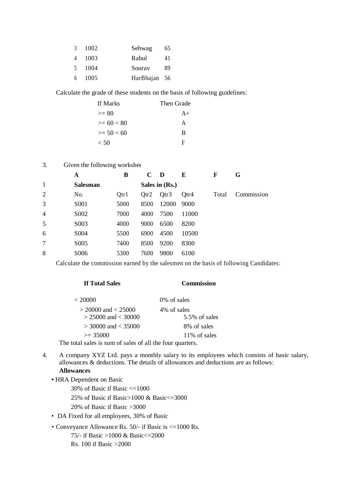| 3      | 1002 | Sehwag       | 65 |
|--------|------|--------------|----|
| 4      | 1003 | Rahul        | 41 |
| $\sim$ | 1004 | Souray       | 89 |
| 6      | 1005 | HarBhajan 56 |    |

Calculate the grade of these students on the basis of following guidelines:

| If Marks       | Then Grade |
|----------------|------------|
| $>= 80$        | $A+$       |
| $>= 60 < 80$   | A          |
| $\geq$ 50 < 60 | B          |
| < 50           | F          |

3. Given the following worksheet

|                | A                 | B    | $\mathbf C$ | D                | E     | F     | G          |
|----------------|-------------------|------|-------------|------------------|-------|-------|------------|
| $\mathbf{1}$   | <b>Salesman</b>   |      |             | Sales in (Rs.)   |       |       |            |
| 2              | No.               | Qtr1 | Qtr2        | Qtr <sub>3</sub> | Otr4  | Total | Commission |
| 3              | S <sub>001</sub>  | 5000 | 8500        | 12000            | 9000  |       |            |
| $\overline{4}$ | S002              | 7000 | 4000        | 7500             | 11000 |       |            |
| 5              | S <sub>0</sub> 03 | 4000 | 9000        | 6500             | 8200  |       |            |
| 6              | S004              | 5500 | 6900        | 4500             | 10500 |       |            |
| 7              | S005              | 7400 | 8500        | 9200             | 8300  |       |            |
| 8              | S006              | 5300 | 7600        | 9800             | 6100  |       |            |

Calculate the commission earned by the salesmen on the basis of following Candidates:

## **If Total Sales Commission**

| < 20000                                                            | 0% of sales      |
|--------------------------------------------------------------------|------------------|
| $>$ 20000 and $<$ 25000                                            | 4\% of sales     |
| $> 25000$ and $< 30000$                                            | $5.5\%$ of sales |
| $>$ 30000 and $<$ 35000                                            | 8% of sales      |
| $\geq$ 35000                                                       | 11\% of sales    |
| $\ldots$ 1 1 $\ldots$ $\ldots$ $\ldots$ $\ldots$ $\ldots$ $\ldots$ |                  |

The total sales is sum of sales of all the four quarters.

- 4. A company XYZ Ltd. pays a monthly salary to its employees which consists of basic salary, allowances & deductions. The details of allowances and deductions are as follows: **Allowances**
	- HRA Dependent on Basic

30% of Basic if Basic <=1000

25% of Basic if Basic>1000 & Basic<=3000

20% of Basic if Basic >3000

- DA Fixed for all employees, 30% of Basic
- Conveyance Allowance Rs. 50/- if Basic is <=1000 Rs. 75/- if Basic >1000 & Basic<=2000 Rs. 100 if Basic >2000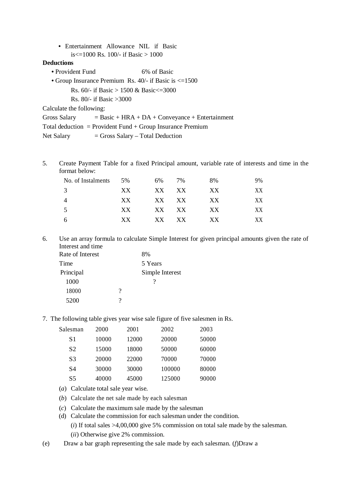**•** Entertainment Allowance NIL if Basic is $\leq$ =1000 Rs. 100/- if Basic > 1000

# **Deductions**

- Provident Fund 6% of Basic
- Group Insurance Premium Rs. 40/- if Basic is  $\leq 1500$

Rs. 60/- if Basic > 1500 & Basic<=3000

Rs. 80/- if Basic >3000

Calculate the following:

Gross Salary  $=$  Basic + HRA + DA + Conveyance + Entertainment

Total deduction = Provident Fund + Group Insurance Premium

Net Salary  $=$  Gross Salary – Total Deduction

5. Create Payment Table for a fixed Principal amount, variable rate of interests and time in the format below:

| No. of Instalments | 5%  | 6%    | 7%    | 8%  | 9% |
|--------------------|-----|-------|-------|-----|----|
| 3                  | XX. | XX XX |       | XX  | XX |
| $\overline{4}$     | XX. | XX XX |       | XX. | XХ |
| .5                 | XX. | XX XX |       | XX  | XХ |
| 6                  | XX. |       | XX XX | XX. | XX |

6. Use an array formula to calculate Simple Interest for given principal amounts given the rate of Interest and time

| Rate of Interest |   | 8%              |
|------------------|---|-----------------|
| Time             |   | 5 Years         |
| Principal        |   | Simple Interest |
| 1000             |   |                 |
| 18000            | ? |                 |
| 5200             | 9 |                 |

7. The following table gives year wise sale figure of five salesmen in Rs.

| Salesman       | 2000  | 2001  | 2002   | 2003  |
|----------------|-------|-------|--------|-------|
| S1             | 10000 | 12000 | 20000  | 50000 |
| S <sub>2</sub> | 15000 | 18000 | 50000  | 60000 |
| S <sub>3</sub> | 20000 | 22000 | 70000  | 70000 |
| S4             | 30000 | 30000 | 100000 | 80000 |
| S5             | 40000 | 45000 | 125000 | 90000 |

- (*a*) Calculate total sale year wise.
- (*b*) Calculate the net sale made by each salesman
- (*c*) Calculate the maximum sale made by the salesman
- (d) Calculate the commission for each salesman under the condition.
	- (*i*) If total sales >4,00,000 give 5% commission on total sale made by the salesman.
	- (*ii*) Otherwise give 2% commission.
- (e) Draw a bar graph representing the sale made by each salesman. (*f*)Draw a